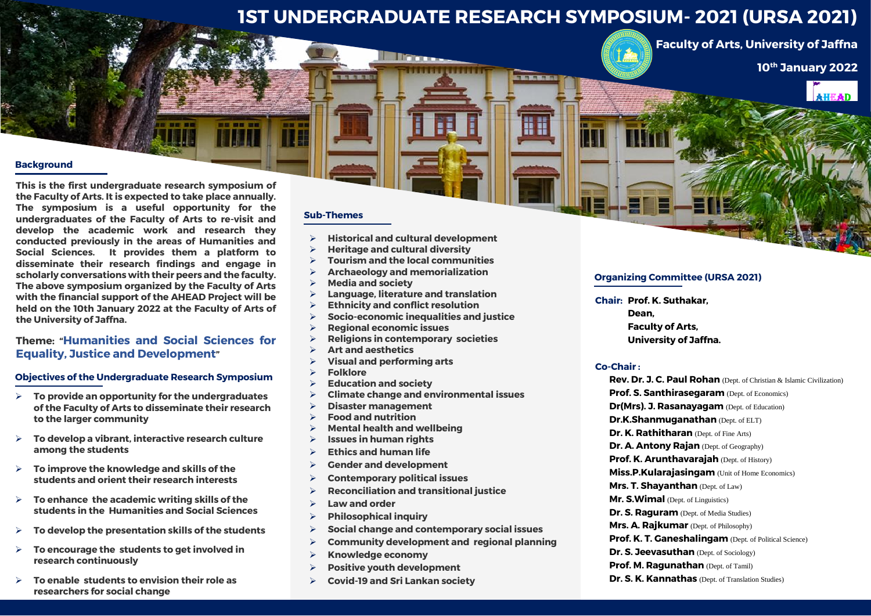# **1ST UNDERGRADUATE RESEARCH SYMPOSIUM- 2021 (URSA 2021)**

**E MI MARTINI** 

**Faculty of Arts, University of Jaffna**

**10th January 2022**



# **Background**

**This is the first undergraduate research symposium of the Faculty of Arts. It is expected to take place annually. The symposium is a useful opportunity for the undergraduates of the Faculty of Arts to re-visit and develop the academic work and research they conducted previously in the areas of Humanities and Social Sciences. It provides them a platform to disseminate their research findings and engage in scholarly conversations with their peers and the faculty. The above symposium organized by the Faculty of Arts with the financial support of the AHEAD Project will be held on the 10th January 2022 at the Faculty of Arts of the University of Jaffna.**

.....

# **Theme: "Humanities and Social Sciences for Equality, Justice and Development"**

#### **Objectives of the Undergraduate Research Symposium**

- **To provide an opportunity for the undergraduates of the Faculty of Arts to disseminate their research to the larger community**
- **To develop a vibrant, interactive research culture among the students**
- **To improve the knowledge and skills of the students and orient their research interests**
- **To enhance the academic writing skills of the students in the Humanities and Social Sciences**
- **To develop the presentation skills of the students**
- **To encourage the students to get involved in research continuously**
- **To enable students to envision their role as researchers for social change**

### **Sub-Themes**

医新闻图

**Historical and cultural development**

**Million** 

,,,,,,,,,,,

- **Heritage and cultural diversity**
- **Tourism and the local communities**
- **Archaeology and memorialization**
- **Media and society**
- **Language, literature and translation**
- **Ethnicity and conflict resolution**
- **Socio-economic inequalities and justice**
- **Regional economic issues**
- **Religions in contemporary societies**
- **Art and aesthetics**
- **Visual and performing arts**
- **Folklore**
- **Education and society**
- **Climate change and environmental issues**
- **Disaster management**
- **Food and nutrition**
- **Mental health and wellbeing**
- **Issues in human rights**
- **Ethics and human life**
- **Gender and development**
- **Contemporary political issues**
- **Reconciliation and transitional justice**
- **Law and order**
- **Philosophical inquiry**
- **Social change and contemporary social issues**
- **Community development and regional planning**
- **Knowledge economy**
- **Positive youth development**
- **Covid-19 and Sri Lankan society**

#### **Organizing Committee (URSA 2021)**

**Chair: Prof. K. Suthakar,** 

 **Dean, Faculty of Arts, University of Jaffna.**

#### **Co-Chair :**

**Rev. Dr. J. C. Paul Rohan** (Dept. of Christian & Islamic Civilization) **Prof. S. Santhirasegaram** (Dept. of Economics) **Dr(Mrs). J. Rasanayagam** (Dept. of Education) **Dr.K.Shanmuganathan** (Dept. of ELT) **Dr. K. Rathitharan** (Dept. of Fine Arts) **Dr. A. Antony Rajan** (Dept. of Geography) **Prof. K. Arunthavaraiah** (Dept. of History) **Miss.P.Kularajasingam** (Unit of Home Economics) **Mrs. T. Shayanthan** (Dept. of Law) **Mr. S.Wimal** (Dept. of Linguistics) **Dr. S. Raguram** (Dept. of Media Studies) **Mrs. A. Rajkumar** (Dept. of Philosophy) **Prof. K. T. Ganeshalingam** (Dept. of Political Science) **Dr. S. Jeevasuthan** (Dept. of Sociology) **Prof. M. Ragunathan** (Dept. of Tamil) **Dr. S. K. Kannathas** (Dept. of Translation Studies)